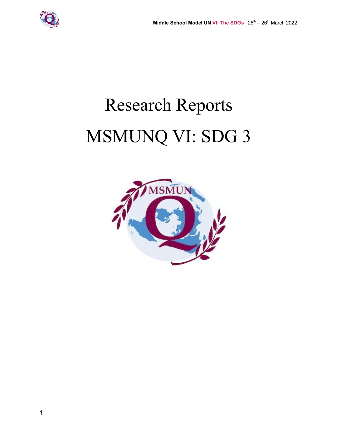

# Research Reports MSMUNQ VI: SDG 3

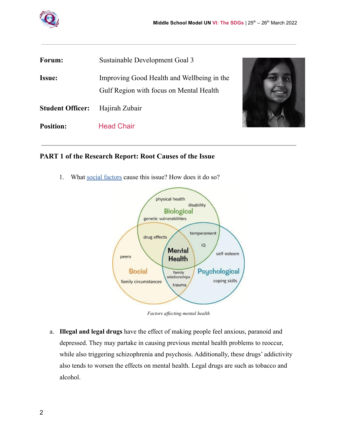

| Forum:                  | Sustainable Development Goal 3                                                        |  |  |
|-------------------------|---------------------------------------------------------------------------------------|--|--|
| <b>Issue:</b>           | Improving Good Health and Wellbeing in the<br>Gulf Region with focus on Mental Health |  |  |
| <b>Student Officer:</b> | Hajirah Zubair                                                                        |  |  |
| <b>Position:</b>        | <b>Head Chair</b>                                                                     |  |  |
|                         |                                                                                       |  |  |

#### **PART 1 of the Research Report: Root Causes of the Issue**

1. What [social factors](https://www.quora.com/What-is-meant-by-sociological-factors-What-are-some-examples) cause this issue? How does it do so?



*Factors affecting mental health*

a. **Illegal and legal drugs** have the effect of making people feel anxious, paranoid and depressed. They may partake in causing previous mental health problems to reoccur, while also triggering schizophrenia and psychosis. Additionally, these drugs' addictivity also tends to worsen the effects on mental health. Legal drugs are such as tobacco and alcohol.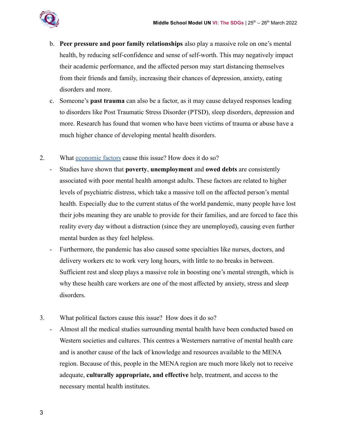

- b. **Peer pressure and poor family relationships** also play a massive role on one's mental health, by reducing self-confidence and sense of self-worth. This may negatively impact their academic performance, and the affected person may start distancing themselves from their friends and family, increasing their chances of depression, anxiety, eating disorders and more.
- c. Someone's **past trauma** can also be a factor, as it may cause delayed responses leading to disorders like Post Traumatic Stress Disorder (PTSD), sleep disorders, depression and more. Research has found that women who have been victims of trauma or abuse have a much higher chance of developing mental health disorders.
- 2. What [economic factors](https://www.quora.com/What-are-five-socioeconomic-factors-that-influence-your-study-choices-and-your-future-career) cause this issue? How does it do so?
	- Studies have shown that **poverty**, **unemployment** and **owed debts** are consistently associated with poor mental health amongst adults. These factors are related to higher levels of psychiatric distress, which take a massive toll on the affected person's mental health. Especially due to the current status of the world pandemic, many people have lost their jobs meaning they are unable to provide for their families, and are forced to face this reality every day without a distraction (since they are unemployed), causing even further mental burden as they feel helpless.
	- Furthermore, the pandemic has also caused some specialties like nurses, doctors, and delivery workers etc to work very long hours, with little to no breaks in between. Sufficient rest and sleep plays a massive role in boosting one's mental strength, which is why these health care workers are one of the most affected by anxiety, stress and sleep disorders.
- 3. What political factors cause this issue? How does it do so?
	- Almost all the medical studies surrounding mental health have been conducted based on Western societies and cultures. This centres a Westerners narrative of mental health care and is another cause of the lack of knowledge and resources available to the MENA region. Because of this, people in the MENA region are much more likely not to receive adequate, **culturally appropriate, and effective** help, treatment, and access to the necessary mental health institutes.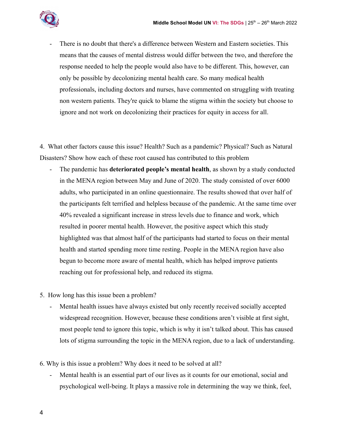

There is no doubt that there's a difference between Western and Eastern societies. This means that the causes of mental distress would differ between the two, and therefore the response needed to help the people would also have to be different. This, however, can only be possible by decolonizing mental health care. So many medical health professionals, including doctors and nurses, have commented on struggling with treating non western patients. They're quick to blame the stigma within the society but choose to ignore and not work on decolonizing their practices for equity in access for all.

4. What other factors cause this issue? Health? Such as a pandemic? Physical? Such as Natural Disasters? Show how each of these root caused has contributed to this problem

- The pandemic has **deteriorated people's mental health**, as shown by a study conducted in the MENA region between May and June of 2020. The study consisted of over 6000 adults, who participated in an online questionnaire. The results showed that over half of the participants felt terrified and helpless because of the pandemic. At the same time over 40% revealed a significant increase in stress levels due to finance and work, which resulted in poorer mental health. However, the positive aspect which this study highlighted was that almost half of the participants had started to focus on their mental health and started spending more time resting. People in the MENA region have also begun to become more aware of mental health, which has helped improve patients reaching out for professional help, and reduced its stigma.
- 5. How long has this issue been a problem?
	- Mental health issues have always existed but only recently received socially accepted widespread recognition. However, because these conditions aren't visible at first sight, most people tend to ignore this topic, which is why it isn't talked about. This has caused lots of stigma surrounding the topic in the MENA region, due to a lack of understanding.
- 6. Why is this issue a problem? Why does it need to be solved at all?
	- Mental health is an essential part of our lives as it counts for our emotional, social and psychological well-being. It plays a massive role in determining the way we think, feel,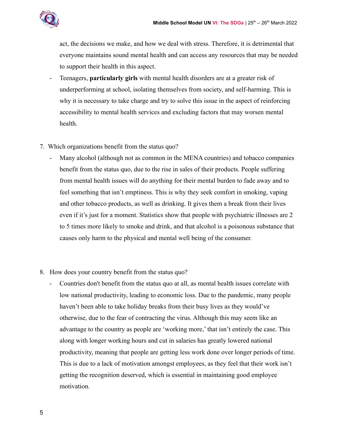

act, the decisions we make, and how we deal with stress. Therefore, it is detrimental that everyone maintains sound mental health and can access any resources that may be needed to support their health in this aspect.

- Teenagers, **particularly girls** with mental health disorders are at a greater risk of underperforming at school, isolating themselves from society, and self-harming. This is why it is necessary to take charge and try to solve this issue in the aspect of reinforcing accessibility to mental health services and excluding factors that may worsen mental health.
- 7. Which organizations benefit from the status quo?
	- Many alcohol (although not as common in the MENA countries) and tobacco companies benefit from the status quo, due to the rise in sales of their products. People suffering from mental health issues will do anything for their mental burden to fade away and to feel something that isn't emptiness. This is why they seek comfort in smoking, vaping and other tobacco products, as well as drinking. It gives them a break from their lives even if it's just for a moment. Statistics show that people with psychiatric illnesses are 2 to 5 times more likely to smoke and drink, and that alcohol is a poisonous substance that causes only harm to the physical and mental well being of the consumer.
- 8. How does your country benefit from the status quo?
	- Countries don't benefit from the status quo at all, as mental health issues correlate with low national productivity, leading to economic loss. Due to the pandemic, many people haven't been able to take holiday breaks from their busy lives as they would've otherwise, due to the fear of contracting the virus. Although this may seem like an advantage to the country as people are 'working more,' that isn't entirely the case. This along with longer working hours and cut in salaries has greatly lowered national productivity, meaning that people are getting less work done over longer periods of time. This is due to a lack of motivation amongst employees, as they feel that their work isn't getting the recognition deserved, which is essential in maintaining good employee motivation.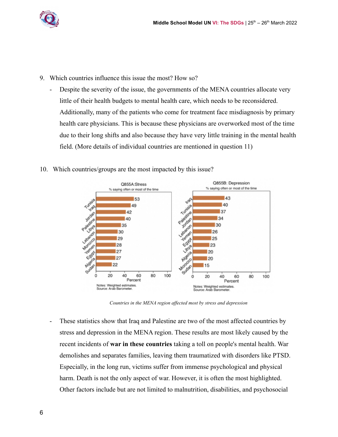

- 9. Which countries influence this issue the most? How so?
	- Despite the severity of the issue, the governments of the MENA countries allocate very little of their health budgets to mental health care, which needs to be reconsidered. Additionally, many of the patients who come for treatment face misdiagnosis by primary health care physicians. This is because these physicians are overworked most of the time due to their long shifts and also because they have very little training in the mental health field. (More details of individual countries are mentioned in question 11)
- 10. Which countries/groups are the most impacted by this issue?



*Countries in the MENA region affected most by stress and depression*

- These statistics show that Iraq and Palestine are two of the most affected countries by stress and depression in the MENA region. These results are most likely caused by the recent incidents of **war in these countries** taking a toll on people's mental health. War demolishes and separates families, leaving them traumatized with disorders like PTSD. Especially, in the long run, victims suffer from immense psychological and physical harm. Death is not the only aspect of war. However, it is often the most highlighted. Other factors include but are not limited to malnutrition, disabilities, and psychosocial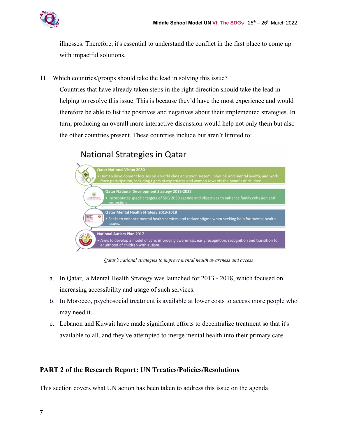

illnesses. Therefore, it's essential to understand the conflict in the first place to come up with impactful solutions.

- 11. Which countries/groups should take the lead in solving this issue?
	- Countries that have already taken steps in the right direction should take the lead in helping to resolve this issue. This is because they'd have the most experience and would therefore be able to list the positives and negatives about their implemented strategies. In turn, producing an overall more interactive discussion would help not only them but also the other countries present. These countries include but aren't limited to:

# National Strategies in Qatar



*Qatar's national strategies to improve mental health awareness and access*

- a. In Qatar, a Mental Health Strategy was launched for 2013 2018, which focused on increasing accessibility and usage of such services.
- b. In Morocco, psychosocial treatment is available at lower costs to access more people who may need it.
- c. Lebanon and Kuwait have made significant efforts to decentralize treatment so that it's available to all, and they've attempted to merge mental health into their primary care.

# **PART 2 of the Research Report: UN Treaties/Policies/Resolutions**

This section covers what UN action has been taken to address this issue on the agenda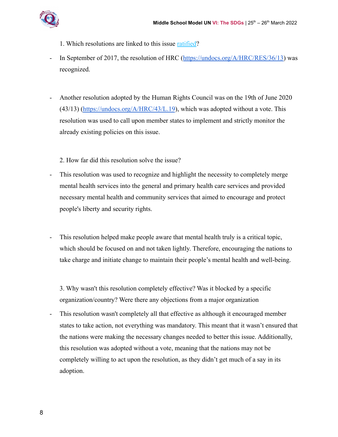

- 1. Which resolutions are linked to this issue [ratified?](https://unfoundation.org/blog/post/un-history-what-is-ratification/)
- In September of 2017, the resolution of HRC ([https://undocs.org/A/HRC/RES/36/13\)](https://undocs.org/A/HRC/RES/36/13) was recognized.
- Another resolution adopted by the Human Rights Council was on the 19th of June 2020  $(43/13)$  [\(https://undocs.org/A/HRC/43/L.19](https://undocs.org/A/HRC/43/L.19)), which was adopted without a vote. This resolution was used to call upon member states to implement and strictly monitor the already existing policies on this issue.

2. How far did this resolution solve the issue?

- This resolution was used to recognize and highlight the necessity to completely merge mental health services into the general and primary health care services and provided necessary mental health and community services that aimed to encourage and protect people's liberty and security rights.
- This resolution helped make people aware that mental health truly is a critical topic, which should be focused on and not taken lightly. Therefore, encouraging the nations to take charge and initiate change to maintain their people's mental health and well-being.

3. Why wasn't this resolution completely effective? Was it blocked by a specific organization/country? Were there any objections from a major organization

- This resolution wasn't completely all that effective as although it encouraged member states to take action, not everything was mandatory. This meant that it wasn't ensured that the nations were making the necessary changes needed to better this issue. Additionally, this resolution was adopted without a vote, meaning that the nations may not be completely willing to act upon the resolution, as they didn't get much of a say in its adoption.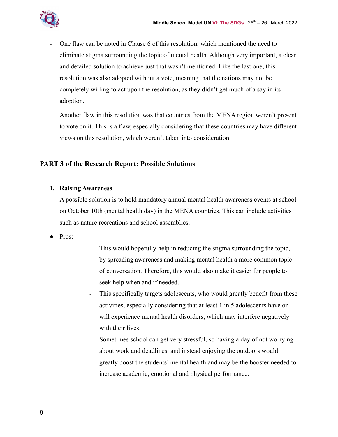

- One flaw can be noted in Clause 6 of this resolution, which mentioned the need to eliminate stigma surrounding the topic of mental health. Although very important, a clear and detailed solution to achieve just that wasn't mentioned. Like the last one, this resolution was also adopted without a vote, meaning that the nations may not be completely willing to act upon the resolution, as they didn't get much of a say in its adoption.

Another flaw in this resolution was that countries from the MENA region weren't present to vote on it. This is a flaw, especially considering that these countries may have different views on this resolution, which weren't taken into consideration.

# **PART 3 of the Research Report: Possible Solutions**

#### **1. Raising Awareness**

A possible solution is to hold mandatory annual mental health awareness events at school on October 10th (mental health day) in the MENA countries. This can include activities such as nature recreations and school assemblies.

- Pros:
- This would hopefully help in reducing the stigma surrounding the topic, by spreading awareness and making mental health a more common topic of conversation. Therefore, this would also make it easier for people to seek help when and if needed.
- This specifically targets adolescents, who would greatly benefit from these activities, especially considering that at least 1 in 5 adolescents have or will experience mental health disorders, which may interfere negatively with their lives.
- Sometimes school can get very stressful, so having a day of not worrying about work and deadlines, and instead enjoying the outdoors would greatly boost the students' mental health and may be the booster needed to increase academic, emotional and physical performance.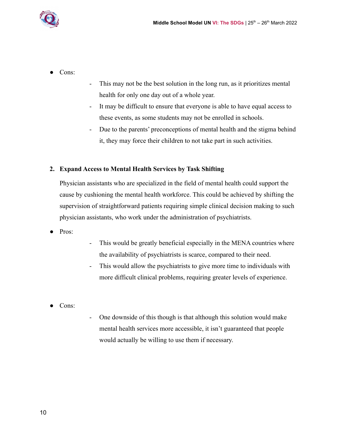

- Cons:
- This may not be the best solution in the long run, as it prioritizes mental health for only one day out of a whole year.
- It may be difficult to ensure that everyone is able to have equal access to these events, as some students may not be enrolled in schools.
- Due to the parents' preconceptions of mental health and the stigma behind it, they may force their children to not take part in such activities.

#### **2. Expand Access to Mental Health Services by Task Shifting**

Physician assistants who are specialized in the field of mental health could support the cause by cushioning the mental health workforce. This could be achieved by shifting the supervision of straightforward patients requiring simple clinical decision making to such physician assistants, who work under the administration of psychiatrists.

- Pros:
- This would be greatly beneficial especially in the MENA countries where the availability of psychiatrists is scarce, compared to their need.
- This would allow the psychiatrists to give more time to individuals with more difficult clinical problems, requiring greater levels of experience.
- Cons:
- One downside of this though is that although this solution would make mental health services more accessible, it isn't guaranteed that people would actually be willing to use them if necessary.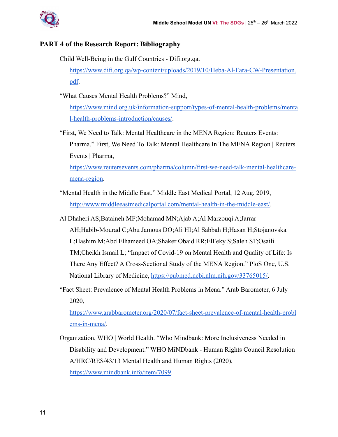

### **PART 4 of the Research Report: Bibliography**

- Child Well-Being in the Gulf Countries Difi.org.qa. [https://www.difi.org.qa/wp-content/uploads/2019/10/Heba-Al-Fara-CW-Presentation.](https://www.difi.org.qa/wp-content/uploads/2019/10/Heba-Al-Fara-CW-Presentation.pdf) [pdf.](https://www.difi.org.qa/wp-content/uploads/2019/10/Heba-Al-Fara-CW-Presentation.pdf)
- "What Causes Mental Health Problems?" Mind,

[https://www.mind.org.uk/information-support/types-of-mental-health-problems/menta](https://www.mind.org.uk/information-support/types-of-mental-health-problems/mental-health-problems-introduction/causes/) [l-health-problems-introduction/causes/.](https://www.mind.org.uk/information-support/types-of-mental-health-problems/mental-health-problems-introduction/causes/)

- "First, We Need to Talk: Mental Healthcare in the MENA Region: Reuters Events: Pharma." First, We Need To Talk: Mental Healthcare In The MENA Region | Reuters Events | Pharma, [https://www.reutersevents.com/pharma/column/first-we-need-talk-mental-healthcare](https://www.reutersevents.com/pharma/column/first-we-need-talk-mental-healthcare-mena-region)[mena-region.](https://www.reutersevents.com/pharma/column/first-we-need-talk-mental-healthcare-mena-region)
- "Mental Health in the Middle East." Middle East Medical Portal, 12 Aug. 2019, <http://www.middleeastmedicalportal.com/mental-health-in-the-middle-east/>.
- Al Dhaheri AS;Bataineh MF;Mohamad MN;Ajab A;Al Marzouqi A;Jarrar AH;Habib-Mourad C;Abu Jamous DO;Ali HI;Al Sabbah H;Hasan H;Stojanovska L;Hashim M;Abd Elhameed OA;Shaker Obaid RR;ElFeky S;Saleh ST;Osaili TM;Cheikh Ismail L; "Impact of Covid-19 on Mental Health and Quality of Life: Is There Any Effect? A Cross-Sectional Study of the MENA Region." PloS One, U.S. National Library of Medicine, [https://pubmed.ncbi.nlm.nih.gov/33765015/.](https://pubmed.ncbi.nlm.nih.gov/33765015/)
- "Fact Sheet: Prevalence of Mental Health Problems in Mena." Arab Barometer, 6 July 2020,

[https://www.arabbarometer.org/2020/07/fact-sheet-prevalence-of-mental-health-probl](https://www.arabbarometer.org/2020/07/fact-sheet-prevalence-of-mental-health-problems-in-mena/) [ems-in-mena/.](https://www.arabbarometer.org/2020/07/fact-sheet-prevalence-of-mental-health-problems-in-mena/)

Organization, WHO | World Health. "Who Mindbank: More Inclusiveness Needed in Disability and Development." WHO MiNDbank - Human Rights Council Resolution A/HRC/RES/43/13 Mental Health and Human Rights (2020), [https://www.mindbank.info/item/7099.](https://www.mindbank.info/item/7099)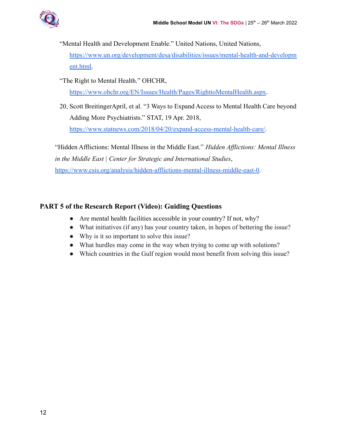"Mental Health and Development Enable." United Nations, United Nations,

[https://www.un.org/development/desa/disabilities/issues/mental-health-and-developm](https://www.un.org/development/desa/disabilities/issues/mental-health-and-development.html) [ent.html.](https://www.un.org/development/desa/disabilities/issues/mental-health-and-development.html)

"The Right to Mental Health." OHCHR,

[https://www.ohchr.org/EN/Issues/Health/Pages/RighttoMentalHealth.aspx.](https://www.ohchr.org/EN/Issues/Health/Pages/RighttoMentalHealth.aspx)

20, Scott BreitingerApril, et al. "3 Ways to Expand Access to Mental Health Care beyond Adding More Psychiatrists." STAT, 19 Apr. 2018,

<https://www.statnews.com/2018/04/20/expand-access-mental-health-care/>.

"Hidden Afflictions: Mental Illness in the Middle East." *Hidden Afflictions: Mental Illness in the Middle East | Center for Strategic and International Studies*, [https://www.csis.org/analysis/hidden-afflictions-mental-illness-middle-east-0.](https://www.csis.org/analysis/hidden-afflictions-mental-illness-middle-east-0)

# **PART 5 of the Research Report (Video): Guiding Questions**

- Are mental health facilities accessible in your country? If not, why?
- What initiatives (if any) has your country taken, in hopes of bettering the issue?
- Why is it so important to solve this issue?
- What hurdles may come in the way when trying to come up with solutions?
- Which countries in the Gulf region would most benefit from solving this issue?